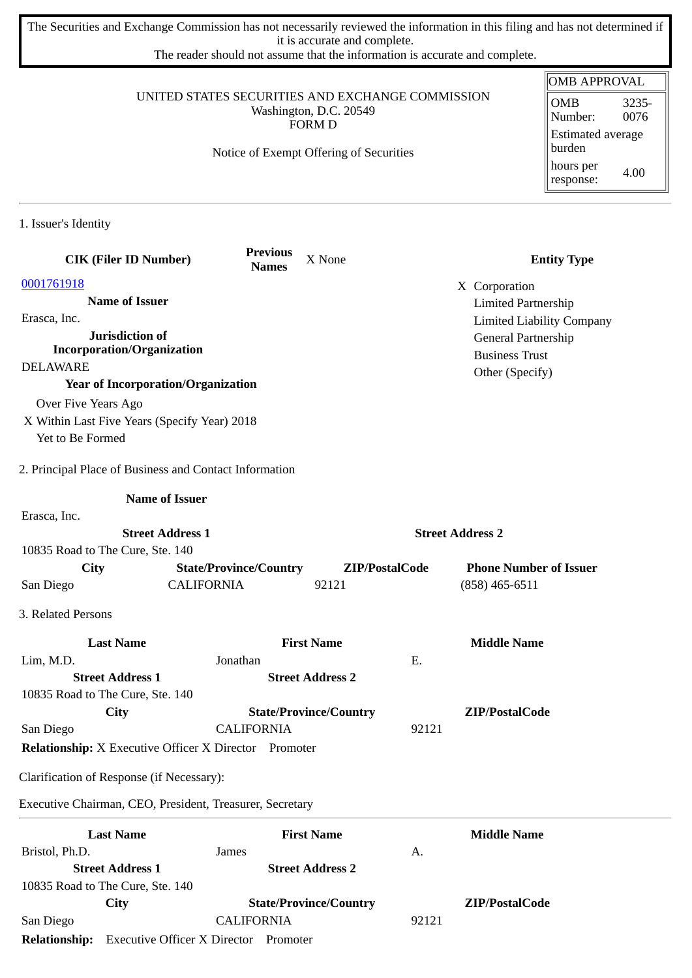The Securities and Exchange Commission has not necessarily reviewed the information in this filing and has not determined if it is accurate and complete.

The reader should not assume that the information is accurate and complete.

## UNITED STATES SECURITIES AND EXCHANGE COMMISSION Washington, D.C. 20549 FORM D

Notice of Exempt Offering of Securities

| <b>OMB APPROVAL</b>                |               |  |  |  |
|------------------------------------|---------------|--|--|--|
| OMB<br>Number:                     | 3235-<br>0076 |  |  |  |
| <b>Estimated average</b><br>burden |               |  |  |  |
| hours per<br>response:             | 4.00          |  |  |  |

1. Issuer's Identity

| <b>CIK (Filer ID Number)</b>                                     | <b>Previous</b><br><b>Names</b> | X None                        |                         | <b>Entity Type</b>               |
|------------------------------------------------------------------|---------------------------------|-------------------------------|-------------------------|----------------------------------|
| 0001761918                                                       |                                 |                               |                         |                                  |
| <b>Name of Issuer</b>                                            |                                 |                               |                         | X Corporation                    |
| Erasca, Inc.                                                     |                                 |                               |                         | <b>Limited Partnership</b>       |
| Jurisdiction of                                                  |                                 |                               |                         | <b>Limited Liability Company</b> |
| <b>Incorporation/Organization</b>                                |                                 |                               |                         | General Partnership              |
| <b>DELAWARE</b>                                                  |                                 |                               |                         | <b>Business Trust</b>            |
| <b>Year of Incorporation/Organization</b>                        |                                 |                               |                         | Other (Specify)                  |
| Over Five Years Ago                                              |                                 |                               |                         |                                  |
|                                                                  |                                 |                               |                         |                                  |
| X Within Last Five Years (Specify Year) 2018<br>Yet to Be Formed |                                 |                               |                         |                                  |
|                                                                  |                                 |                               |                         |                                  |
| 2. Principal Place of Business and Contact Information           |                                 |                               |                         |                                  |
| <b>Name of Issuer</b>                                            |                                 |                               |                         |                                  |
| Erasca, Inc.                                                     |                                 |                               |                         |                                  |
| <b>Street Address 1</b>                                          |                                 |                               | <b>Street Address 2</b> |                                  |
| 10835 Road to The Cure, Ste. 140                                 |                                 |                               |                         |                                  |
| <b>City</b>                                                      | <b>State/Province/Country</b>   | ZIP/PostalCode                |                         | <b>Phone Number of Issuer</b>    |
| <b>CALIFORNIA</b><br>San Diego                                   |                                 | 92121                         |                         | $(858)$ 465-6511                 |
| 3. Related Persons                                               |                                 |                               |                         |                                  |
| <b>Last Name</b>                                                 |                                 | <b>First Name</b>             |                         | <b>Middle Name</b>               |
| Lim, M.D.                                                        | Jonathan                        |                               | Ε.                      |                                  |
| <b>Street Address 1</b>                                          |                                 | <b>Street Address 2</b>       |                         |                                  |
| 10835 Road to The Cure, Ste. 140                                 |                                 |                               |                         |                                  |
| City                                                             |                                 | <b>State/Province/Country</b> |                         | ZIP/PostalCode                   |
| San Diego                                                        | <b>CALIFORNIA</b>               |                               | 92121                   |                                  |
| <b>Relationship:</b> X Executive Officer X Director Promoter     |                                 |                               |                         |                                  |
| Clarification of Response (if Necessary):                        |                                 |                               |                         |                                  |
| Executive Chairman, CEO, President, Treasurer, Secretary         |                                 |                               |                         |                                  |
| <b>Last Name</b>                                                 |                                 | <b>First Name</b>             |                         | <b>Middle Name</b>               |
| Bristol, Ph.D.                                                   | James                           |                               | А.                      |                                  |
| <b>Street Address 1</b>                                          |                                 | <b>Street Address 2</b>       |                         |                                  |
| 10835 Road to The Cure, Ste. 140                                 |                                 |                               |                         |                                  |
|                                                                  |                                 |                               |                         |                                  |
|                                                                  |                                 |                               |                         |                                  |
| <b>City</b><br>San Diego                                         | <b>CALIFORNIA</b>               | <b>State/Province/Country</b> | 92121                   | ZIP/PostalCode                   |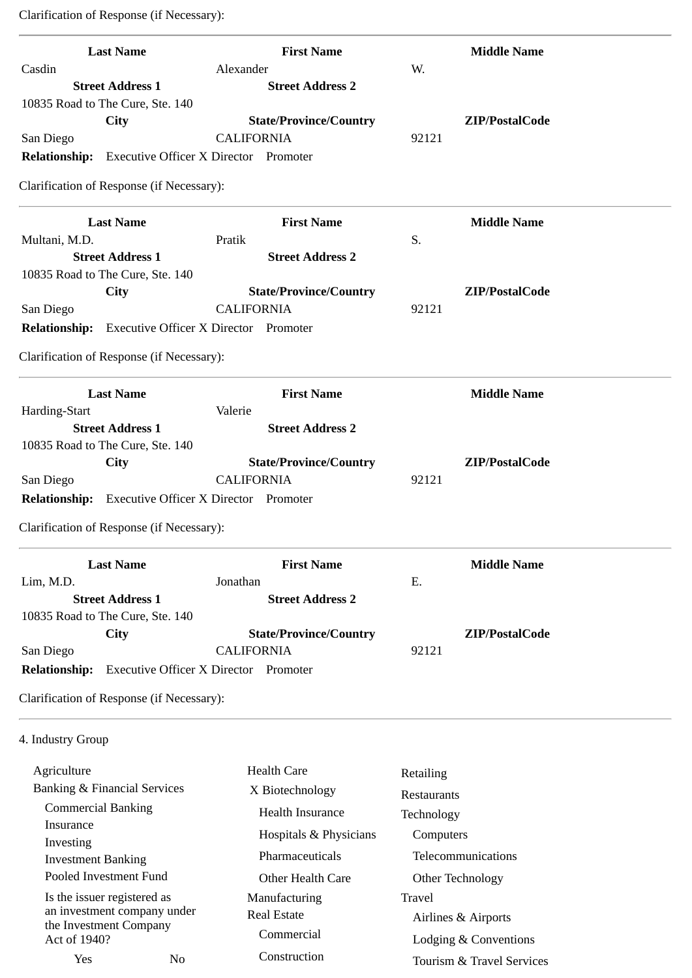Clarification of Response (if Necessary):

| <b>Last Name</b>                                           | <b>First Name</b>                            | <b>Middle Name</b>        |
|------------------------------------------------------------|----------------------------------------------|---------------------------|
| Casdin                                                     | Alexander                                    | W.                        |
| <b>Street Address 1</b>                                    | <b>Street Address 2</b>                      |                           |
| 10835 Road to The Cure, Ste. 140                           |                                              |                           |
| City                                                       | <b>State/Province/Country</b>                | ZIP/PostalCode            |
| San Diego                                                  | <b>CALIFORNIA</b>                            | 92121                     |
| <b>Relationship:</b> Executive Officer X Director Promoter |                                              |                           |
| Clarification of Response (if Necessary):                  |                                              |                           |
| <b>Last Name</b>                                           | <b>First Name</b>                            | <b>Middle Name</b>        |
| Multani, M.D.                                              | Pratik                                       | S.                        |
| <b>Street Address 1</b>                                    | <b>Street Address 2</b>                      |                           |
| 10835 Road to The Cure, Ste. 140                           |                                              |                           |
| City                                                       | <b>State/Province/Country</b>                | ZIP/PostalCode            |
| San Diego                                                  | <b>CALIFORNIA</b>                            | 92121                     |
| <b>Relationship:</b> Executive Officer X Director Promoter |                                              |                           |
| Clarification of Response (if Necessary):                  |                                              |                           |
| <b>Last Name</b>                                           | <b>First Name</b>                            | <b>Middle Name</b>        |
| Harding-Start                                              | Valerie                                      |                           |
| <b>Street Address 1</b>                                    | <b>Street Address 2</b>                      |                           |
| 10835 Road to The Cure, Ste. 140                           |                                              |                           |
| City                                                       | <b>State/Province/Country</b>                | ZIP/PostalCode            |
| San Diego                                                  | <b>CALIFORNIA</b>                            | 92121                     |
| <b>Relationship:</b> Executive Officer X Director Promoter |                                              |                           |
| Clarification of Response (if Necessary):                  |                                              |                           |
| <b>Last Name</b>                                           | <b>First Name</b>                            | <b>Middle Name</b>        |
| Lim, M.D.                                                  | Jonathan                                     | Ε.                        |
| <b>Street Address 1</b>                                    | <b>Street Address 2</b>                      |                           |
| 10835 Road to The Cure, Ste. 140                           |                                              |                           |
| City                                                       | <b>State/Province/Country</b>                | ZIP/PostalCode            |
| San Diego                                                  | <b>CALIFORNIA</b>                            | 92121                     |
| <b>Relationship:</b>                                       | <b>Executive Officer X Director Promoter</b> |                           |
| Clarification of Response (if Necessary):                  |                                              |                           |
| 4. Industry Group                                          |                                              |                           |
| Agriculture                                                | <b>Health Care</b>                           | Retailing                 |
| <b>Banking &amp; Financial Services</b>                    | X Biotechnology                              |                           |
| <b>Commercial Banking</b>                                  | Health Insurance                             | Restaurants               |
| Insurance                                                  |                                              | Technology                |
| Investing                                                  | Hospitals & Physicians                       | Computers                 |
| <b>Investment Banking</b>                                  | Pharmaceuticals                              | Telecommunications        |
| Pooled Investment Fund                                     | Other Health Care                            | Other Technology          |
| Is the issuer registered as                                | Manufacturing                                | Travel                    |
| an investment company under                                | <b>Real Estate</b>                           | Airlines & Airports       |
| the Investment Company<br>Act of 1940?                     | Commercial                                   |                           |
|                                                            | Construction                                 | Lodging & Conventions     |
| Yes<br>No                                                  |                                              | Tourism & Travel Services |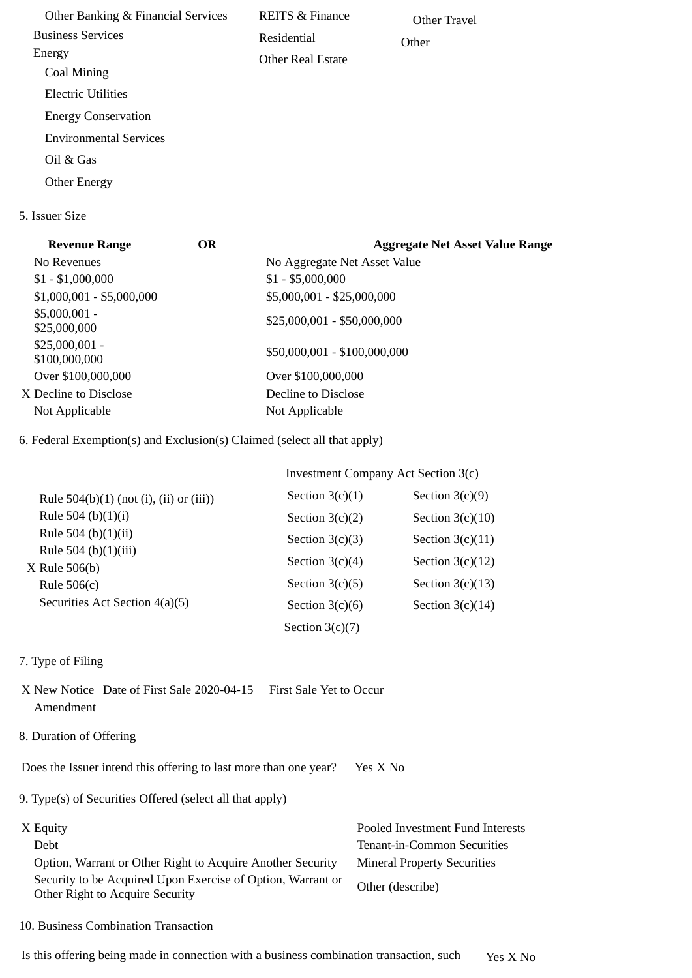Other Banking & Financial Services Business Services Energy Coal Mining Electric Utilities Energy Conservation Environmental Services Oil & Gas Other Energy REITS & Finance Residential Other Real Estate Other Travel **Other** 

5. Issuer Size

| <b>Revenue Range</b>             | <b>OR</b> | <b>Aggregate Net Asset Value Range</b> |
|----------------------------------|-----------|----------------------------------------|
| No Revenues                      |           | No Aggregate Net Asset Value           |
| $$1 - $1,000,000$                |           | $$1 - $5,000,000$                      |
| $$1,000,001 - $5,000,000$        |           | \$5,000,001 - \$25,000,000             |
| $$5,000,001 -$<br>\$25,000,000   |           | $$25,000,001 - $50,000,000$            |
| $$25,000,001 -$<br>\$100,000,000 |           | \$50,000,001 - \$100,000,000           |
| Over \$100,000,000               |           | Over \$100,000,000                     |
| X Decline to Disclose            |           | Decline to Disclose                    |
| Not Applicable                   |           | Not Applicable                         |
|                                  |           |                                        |

6. Federal Exemption(s) and Exclusion(s) Claimed (select all that apply)

|                                           | Investment Company Act Section 3(c) |                    |  |
|-------------------------------------------|-------------------------------------|--------------------|--|
| Rule $504(b)(1)$ (not (i), (ii) or (iii)) | Section $3(c)(1)$                   | Section $3(c)(9)$  |  |
| Rule 504 (b)(1)(i)                        | Section $3(c)(2)$                   | Section $3(c)(10)$ |  |
| Rule 504 (b)(1)(ii)                       | Section $3(c)(3)$                   | Section $3(c)(11)$ |  |
| Rule 504 (b)(1)(iii)<br>$X$ Rule 506(b)   | Section $3(c)(4)$                   | Section $3(c)(12)$ |  |
| Rule $506(c)$                             | Section $3(c)(5)$                   | Section $3(c)(13)$ |  |
| Securities Act Section 4(a)(5)            | Section $3(c)(6)$                   | Section $3(c)(14)$ |  |
|                                           | Section $3(c)(7)$                   |                    |  |

- 7. Type of Filing
- X New Notice Date of First Sale 2020-04-15 First Sale Yet to Occur Amendment
- 8. Duration of Offering

Does the Issuer intend this offering to last more than one year? Yes X No

9. Type(s) of Securities Offered (select all that apply)

| X Equity                                                                                       | Pooled Investment Fund Interests   |
|------------------------------------------------------------------------------------------------|------------------------------------|
| Debt                                                                                           | Tenant-in-Common Securities        |
| Option, Warrant or Other Right to Acquire Another Security                                     | <b>Mineral Property Securities</b> |
| Security to be Acquired Upon Exercise of Option, Warrant or<br>Other Right to Acquire Security | Other (describe)                   |

10. Business Combination Transaction

Is this offering being made in connection with a business combination transaction, such Yes X No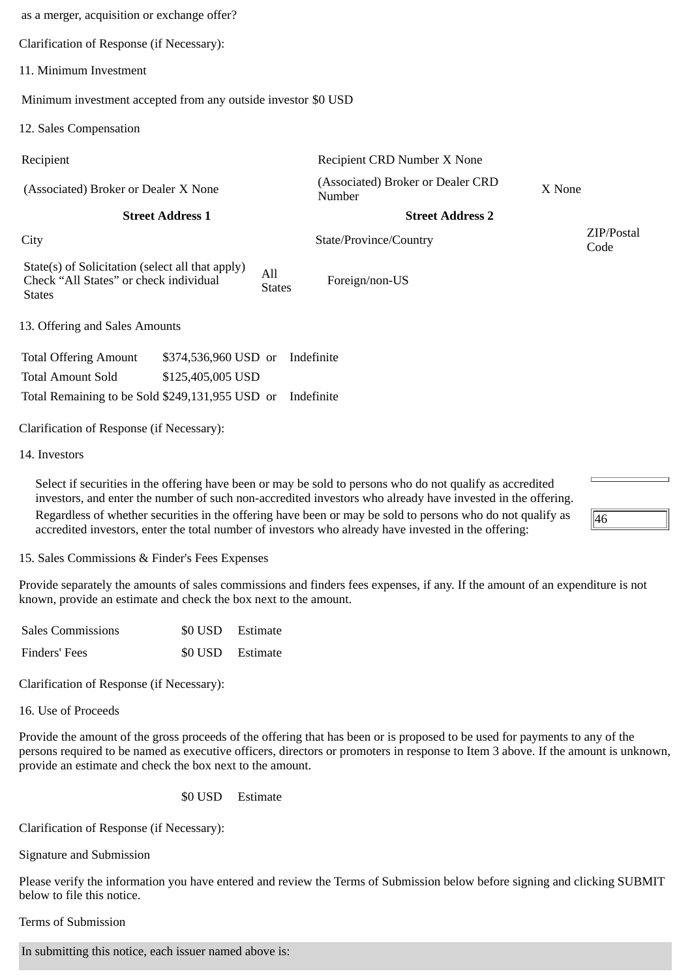| as a merger, acquisition or exchange offer?                                                                 |                         |                      |                                             |                    |
|-------------------------------------------------------------------------------------------------------------|-------------------------|----------------------|---------------------------------------------|--------------------|
| Clarification of Response (if Necessary):                                                                   |                         |                      |                                             |                    |
| 11. Minimum Investment                                                                                      |                         |                      |                                             |                    |
| Minimum investment accepted from any outside investor \$0 USD                                               |                         |                      |                                             |                    |
| 12. Sales Compensation                                                                                      |                         |                      |                                             |                    |
| Recipient                                                                                                   |                         |                      | Recipient CRD Number X None                 |                    |
| (Associated) Broker or Dealer X None                                                                        |                         |                      | (Associated) Broker or Dealer CRD<br>Number | X None             |
|                                                                                                             | <b>Street Address 1</b> |                      | <b>Street Address 2</b>                     |                    |
|                                                                                                             |                         |                      |                                             |                    |
| City                                                                                                        |                         |                      | State/Province/Country                      | ZIP/Postal<br>Code |
| State(s) of Solicitation (select all that apply)<br>Check "All States" or check individual<br><b>States</b> |                         | All<br><b>States</b> | Foreign/non-US                              |                    |
| 13. Offering and Sales Amounts                                                                              |                         |                      |                                             |                    |
| <b>Total Offering Amount</b>                                                                                | \$374,536,960 USD or    |                      | Indefinite                                  |                    |
| <b>Total Amount Sold</b>                                                                                    | \$125,405,005 USD       |                      |                                             |                    |
| Total Remaining to be Sold \$249,131,955 USD or                                                             |                         |                      | Indefinite                                  |                    |
| Clarification of Response (if Necessary):                                                                   |                         |                      |                                             |                    |

Select if securities in the offering have been or may be sold to persons who do not qualify as accredited investors, and enter the number of such non-accredited investors who already have invested in the offering. Regardless of whether securities in the offering have been or may be sold to persons who do not qualify as accredited investors, enter the total number of investors who already have invested in the offering:

15. Sales Commissions & Finder's Fees Expenses

Provide separately the amounts of sales commissions and finders fees expenses, if any. If the amount of an expenditure is not known, provide an estimate and check the box next to the amount.

46

| <b>Sales Commissions</b> | \$0 USD Estimate |
|--------------------------|------------------|
| Finders' Fees            | \$0 USD Estimate |

Clarification of Response (if Necessary):

16. Use of Proceeds

Provide the amount of the gross proceeds of the offering that has been or is proposed to be used for payments to any of the persons required to be named as executive officers, directors or promoters in response to Item 3 above. If the amount is unknown, provide an estimate and check the box next to the amount.

\$0 USD Estimate

Clarification of Response (if Necessary):

Signature and Submission

Please verify the information you have entered and review the Terms of Submission below before signing and clicking SUBMIT below to file this notice.

Terms of Submission

In submitting this notice, each issuer named above is: